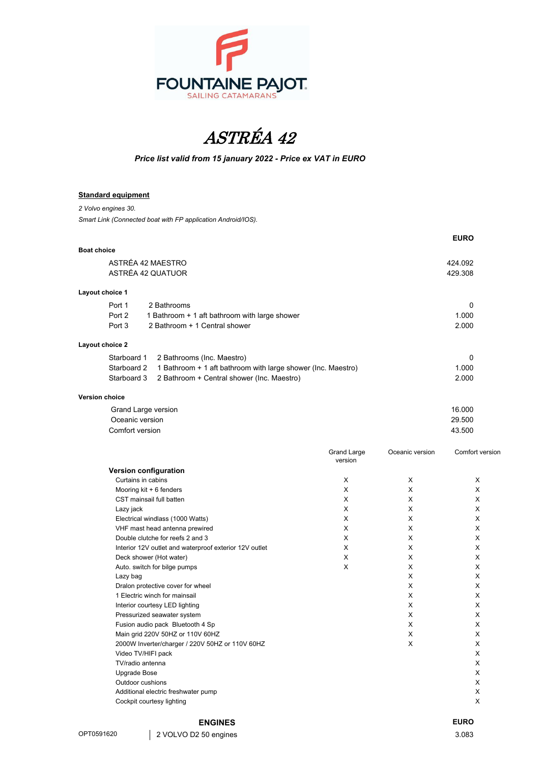



## *Price list valid from 15 january 2022 - Price ex VAT in EURO*

## **Standard equipment**

*2 Volvo engines 30.*

*Smart Link (Connected boat with FP application Android/IOS).*

|                                                                             | <b>EURO</b> |  |
|-----------------------------------------------------------------------------|-------------|--|
| <b>Boat choice</b>                                                          |             |  |
| ASTRÉA 42 MAESTRO                                                           | 424.092     |  |
| ASTRÉA 42 QUATUOR                                                           | 429.308     |  |
| Layout choice 1                                                             |             |  |
| Port 1<br>2 Bathrooms                                                       | 0           |  |
| Port 2<br>1 Bathroom + 1 aft bathroom with large shower                     | 1.000       |  |
| Port 3<br>2 Bathroom + 1 Central shower                                     | 2.000       |  |
| Layout choice 2                                                             |             |  |
| Starboard 1<br>2 Bathrooms (Inc. Maestro)                                   | 0           |  |
| Starboard 2<br>1 Bathroom + 1 aft bathroom with large shower (Inc. Maestro) | 1.000       |  |
| Starboard 3<br>2 Bathroom + Central shower (Inc. Maestro)                   | 2.000       |  |
| <b>Version choice</b>                                                       |             |  |

| Grand Large version | 16.000 |
|---------------------|--------|
| Oceanic version     | 29.500 |
| Comfort version     | 43.500 |

|                                                        | <b>Grand Large</b><br>version | Oceanic version | Comfort version |
|--------------------------------------------------------|-------------------------------|-----------------|-----------------|
| Version configuration                                  |                               |                 |                 |
| Curtains in cabins                                     | X                             | X               | X               |
| Mooring kit + 6 fenders                                | X                             | X               | X               |
| CST mainsail full batten                               | X                             | X               | X               |
| Lazy jack                                              | X                             | X               | X               |
| Electrical windlass (1000 Watts)                       | X                             | X               | X               |
| VHF mast head antenna prewired                         | X                             | X               | X               |
| Double clutche for reefs 2 and 3                       | X                             | X               | X               |
| Interior 12V outlet and waterproof exterior 12V outlet | X                             | X               | X               |
| Deck shower (Hot water)                                | X                             | X               | X               |
| Auto. switch for bilge pumps                           | X                             | X               | X               |
| Lazy bag                                               |                               | X               | X               |
| Dralon protective cover for wheel                      |                               | X               | X               |
| 1 Electric winch for mainsail                          |                               | X               | X               |
| Interior courtesy LED lighting                         |                               | X               | X               |
| Pressurized seawater system                            |                               | X               | X               |
| Fusion audio pack Bluetooth 4 Sp                       |                               | X               | X               |
| Main grid 220V 50HZ or 110V 60HZ                       |                               | X               | X               |
| 2000W Inverter/charger / 220V 50HZ or 110V 60HZ        |                               | X               | X               |
| Video TV/HIFI pack                                     |                               |                 | X               |
| TV/radio antenna                                       |                               |                 | X               |
| <b>Upgrade Bose</b>                                    |                               |                 | X               |
| Outdoor cushions                                       |                               |                 | X               |
| Additional electric freshwater pump                    |                               |                 | X               |
| Cockpit courtesy lighting                              |                               |                 | X               |

## **ENGINES EURO**

OPT0591620 2 VOLVO D2 50 engines 3.083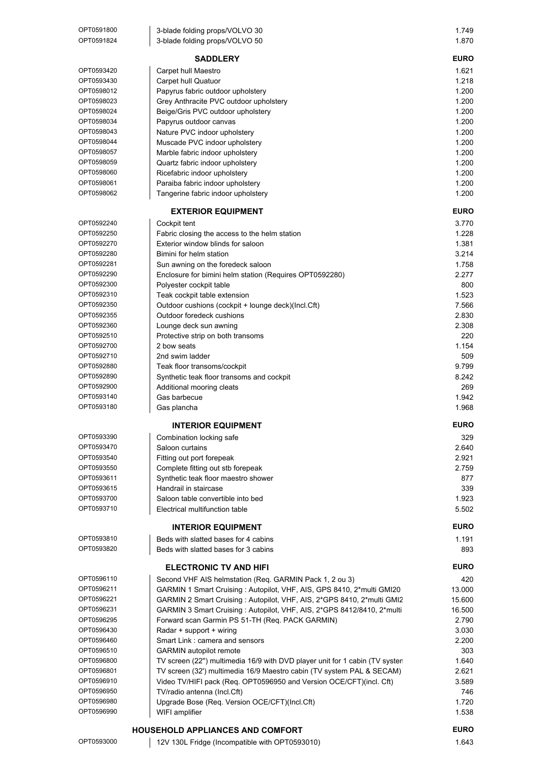| OPT0591800<br>OPT0591824 | 3-blade folding props/VOLVO 30<br>3-blade folding props/VOLVO 50            | 1.749<br>1.870 |
|--------------------------|-----------------------------------------------------------------------------|----------------|
|                          | <b>SADDLERY</b>                                                             | <b>EURO</b>    |
| OPT0593420               | Carpet hull Maestro                                                         | 1.621          |
| OPT0593430               | Carpet hull Quatuor                                                         | 1.218          |
| OPT0598012               | Papyrus fabric outdoor upholstery                                           | 1.200          |
| OPT0598023               | Grey Anthracite PVC outdoor upholstery                                      | 1.200          |
| OPT0598024               | Beige/Gris PVC outdoor upholstery                                           | 1.200          |
| OPT0598034               | Papyrus outdoor canvas                                                      | 1.200          |
| OPT0598043               | Nature PVC indoor upholstery                                                | 1.200          |
| OPT0598044               | Muscade PVC indoor upholstery                                               | 1.200          |
| OPT0598057               | Marble fabric indoor upholstery                                             | 1.200          |
| OPT0598059               | Quartz fabric indoor upholstery                                             | 1.200          |
| OPT0598060               | Ricefabric indoor upholstery                                                | 1.200          |
| OPT0598061               | Paraiba fabric indoor upholstery                                            | 1.200          |
| OPT0598062               | Tangerine fabric indoor upholstery                                          | 1.200          |
|                          | <b>EXTERIOR EQUIPMENT</b>                                                   | <b>EURO</b>    |
| OPT0592240               | Cockpit tent                                                                | 3.770          |
| OPT0592250               | Fabric closing the access to the helm station                               | 1.228          |
| OPT0592270               | Exterior window blinds for saloon                                           | 1.381          |
| OPT0592280               | Bimini for helm station                                                     | 3.214          |
| OPT0592281               | Sun awning on the foredeck saloon                                           | 1.758          |
| OPT0592290               | Enclosure for bimini helm station (Requires OPT0592280)                     | 2.277          |
| OPT0592300               | Polyester cockpit table                                                     | 800            |
| OPT0592310               | Teak cockpit table extension                                                | 1.523          |
| OPT0592350               | Outdoor cushions (cockpit + lounge deck)(Incl.Cft)                          | 7.566          |
| OPT0592355               | Outdoor foredeck cushions                                                   | 2.830          |
| OPT0592360               | Lounge deck sun awning                                                      | 2.308          |
| OPT0592510<br>OPT0592700 | Protective strip on both transoms                                           | 220            |
| OPT0592710               | 2 bow seats<br>2nd swim ladder                                              | 1.154<br>509   |
| OPT0592880               |                                                                             | 9.799          |
| OPT0592890               | Teak floor transoms/cockpit<br>Synthetic teak floor transoms and cockpit    | 8.242          |
| OPT0592900               | Additional mooring cleats                                                   | 269            |
| OPT0593140               | Gas barbecue                                                                | 1.942          |
| OPT0593180               | Gas plancha                                                                 | 1.968          |
|                          | <b>INTERIOR EQUIPMENT</b>                                                   | <b>EURO</b>    |
| OPT0593390               | Combination locking safe                                                    | 329            |
| OPT0593470               | Saloon curtains                                                             | 2.640          |
| OPT0593540               | Fitting out port forepeak                                                   | 2.921          |
| OPT0593550               | Complete fitting out stb forepeak                                           | 2.759          |
| OPT0593611               | Synthetic teak floor maestro shower                                         | 877            |
| OPT0593615               | Handrail in staircase                                                       | 339            |
| OPT0593700               | Saloon table convertible into bed                                           | 1.923          |
| OPT0593710               | Electrical multifunction table                                              | 5.502          |
|                          | <b>INTERIOR EQUIPMENT</b>                                                   | <b>EURO</b>    |
| OPT0593810               | Beds with slatted bases for 4 cabins                                        | 1.191          |
| OPT0593820               | Beds with slatted bases for 3 cabins                                        | 893            |
|                          | <b>ELECTRONIC TV AND HIFI</b>                                               | <b>EURO</b>    |
| OPT0596110               | Second VHF AIS helmstation (Req. GARMIN Pack 1, 2 ou 3)                     | 420            |
| OPT0596211               | GARMIN 1 Smart Cruising: Autopilot, VHF, AIS, GPS 8410, 2*multi GMI20       | 13.000         |
| OPT0596221               | GARMIN 2 Smart Cruising : Autopilot, VHF, AIS, 2*GPS 8410, 2*multi GMI2     | 15.600         |
| OPT0596231               | GARMIN 3 Smart Cruising : Autopilot, VHF, AIS, 2*GPS 8412/8410, 2*multi     | 16.500         |
| OPT0596295               | Forward scan Garmin PS 51-TH (Req. PACK GARMIN)                             | 2.790          |
| OPT0596430               | Radar + support + wiring                                                    | 3.030          |
| OPT0596460               | Smart Link: camera and sensors                                              | 2.200          |
| OPT0596510               | <b>GARMIN</b> autopilot remote                                              | 303            |
| OPT0596800               | TV screen (22") multimedia 16/9 with DVD player unit for 1 cabin (TV syster | 1.640          |
| OPT0596801               | TV screen (32') multimedia 16/9 Maestro cabin (TV system PAL & SECAM)       | 2.621          |
| OPT0596910               | Video TV/HIFI pack (Req. OPT0596950 and Version OCE/CFT)(incl. Cft)         | 3.589          |
| OPT0596950               | TV/radio antenna (Incl.Cft)                                                 | 746            |
| OPT0596980               | Upgrade Bose (Req. Version OCE/CFT)(Incl.Cft)                               | 1.720          |
| OPT0596990               | WIFI amplifier                                                              | 1.538          |
|                          | <b>HOUSEHOLD APPLIANCES AND COMFORT</b>                                     | <b>EURO</b>    |

OPT0593000 12V 130L Fridge (Incompatible with OPT0593010) 1.643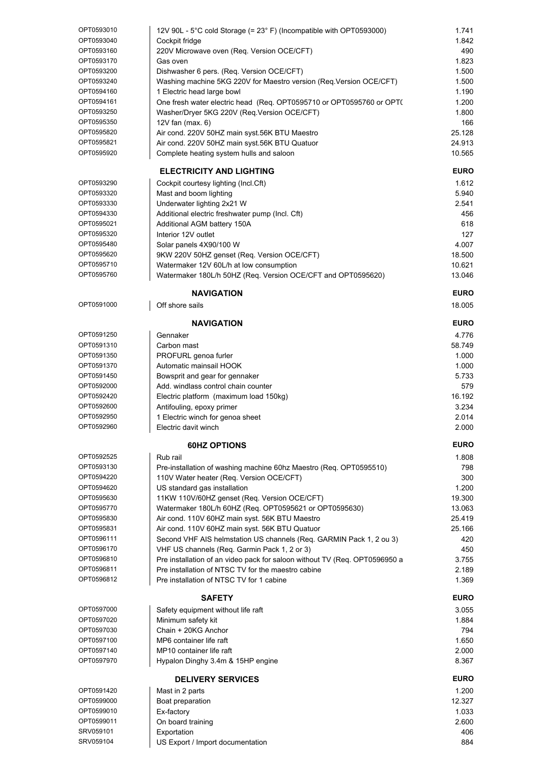| OPT0593010             | 12V 90L - 5°C cold Storage (= 23° F) (Incompatible with OPT0593000)        | 1.741                |
|------------------------|----------------------------------------------------------------------------|----------------------|
| OPT0593040             | Cockpit fridge                                                             | 1.842                |
|                        |                                                                            |                      |
| OPT0593160             | 220V Microwave oven (Req. Version OCE/CFT)                                 | 490                  |
| OPT0593170             | Gas oven                                                                   | 1.823                |
| OPT0593200             | Dishwasher 6 pers. (Req. Version OCE/CFT)                                  | 1.500                |
| OPT0593240             | Washing machine 5KG 220V for Maestro version (Req. Version OCE/CFT)        | 1.500                |
|                        |                                                                            |                      |
| OPT0594160             | 1 Electric head large bowl                                                 | 1.190                |
| OPT0594161             | One fresh water electric head (Req. OPT0595710 or OPT0595760 or OPT(       | 1.200                |
| OPT0593250             | Washer/Dryer 5KG 220V (Req.Version OCE/CFT)                                | 1.800                |
|                        |                                                                            |                      |
| OPT0595350             | 12V fan $(max 6)$                                                          | 166                  |
| OPT0595820             | Air cond. 220V 50HZ main syst.56K BTU Maestro                              | 25.128               |
| OPT0595821             | Air cond. 220V 50HZ main syst.56K BTU Quatuor                              | 24.913               |
|                        |                                                                            |                      |
| OPT0595920             | Complete heating system hulls and saloon                                   | 10.565               |
|                        |                                                                            | <b>EURO</b>          |
|                        | <b>ELECTRICITY AND LIGHTING</b>                                            |                      |
| OPT0593290             | Cockpit courtesy lighting (Incl.Cft)                                       | 1.612                |
| OPT0593320             | Mast and boom lighting                                                     | 5.940                |
| OPT0593330             | Underwater lighting 2x21 W                                                 | 2.541                |
|                        |                                                                            |                      |
| OPT0594330             | Additional electric freshwater pump (Incl. Cft)                            | 456                  |
| OPT0595021             | Additional AGM battery 150A                                                | 618                  |
| OPT0595320             | Interior 12V outlet                                                        | 127                  |
|                        |                                                                            |                      |
| OPT0595480             | Solar panels 4X90/100 W                                                    | 4.007                |
| OPT0595620             | 9KW 220V 50HZ genset (Req. Version OCE/CFT)                                | 18.500               |
| OPT0595710             | Watermaker 12V 60L/h at low consumption                                    | 10.621               |
|                        |                                                                            |                      |
| OPT0595760             | Watermaker 180L/h 50HZ (Req. Version OCE/CFT and OPT0595620)               | 13.046               |
|                        | <b>NAVIGATION</b>                                                          | <b>EURO</b>          |
| OPT0591000             | Off shore sails                                                            | 18.005               |
|                        |                                                                            |                      |
|                        | <b>NAVIGATION</b>                                                          | <b>EURO</b>          |
|                        |                                                                            |                      |
| OPT0591250             | Gennaker                                                                   | 4.776                |
| OPT0591310             | Carbon mast                                                                | 58.749               |
| OPT0591350             | PROFURL genoa furler                                                       | 1.000                |
|                        |                                                                            |                      |
| OPT0591370             | Automatic mainsail HOOK                                                    | 1.000                |
| OPT0591450             | Bowsprit and gear for gennaker                                             | 5.733                |
| OPT0592000             | Add. windlass control chain counter                                        | 579                  |
|                        |                                                                            |                      |
| OPT0592420             | Electric platform (maximum load 150kg)                                     | 16.192               |
| OPT0592600             | Antifouling, epoxy primer                                                  | 3.234                |
| OPT0592950             | 1 Electric winch for genoa sheet                                           | 2.014                |
| OPT0592960             |                                                                            |                      |
|                        | Electric davit winch                                                       | 2.000                |
|                        | <b>60HZ OPTIONS</b>                                                        | <b>EURO</b>          |
| OPT0592525             | Rub rail                                                                   | 1.808                |
|                        |                                                                            |                      |
| OPT0593130             | Pre-installation of washing machine 60hz Maestro (Reg. OPT0595510)         | 798                  |
| OPT0594220             | 110V Water heater (Req. Version OCE/CFT)                                   | 300                  |
| OPT0594620             | US standard gas installation                                               | 1.200                |
|                        |                                                                            |                      |
| OPT0595630             | 11KW 110V/60HZ genset (Req. Version OCE/CFT)                               | 19.300               |
| OPT0595770             | Watermaker 180L/h 60HZ (Req. OPT0595621 or OPT0595630)                     | 13.063               |
| OPT0595830             | Air cond. 110V 60HZ main syst. 56K BTU Maestro                             | 25.419               |
|                        |                                                                            |                      |
| OPT0595831             | Air cond. 110V 60HZ main syst. 56K BTU Quatuor                             | 25.166               |
| OPT0596111             | Second VHF AIS helmstation US channels (Req. GARMIN Pack 1, 2 ou 3)        | 420                  |
| OPT0596170             | VHF US channels (Req. Garmin Pack 1, 2 or 3)                               | 450                  |
| OPT0596810             |                                                                            | 3.755                |
|                        | Pre installation of an video pack for saloon without TV (Req. OPT0596950 a |                      |
| OPT0596811             | Pre installation of NTSC TV for the maestro cabine                         | 2.189                |
| OPT0596812             | Pre installation of NTSC TV for 1 cabine                                   | 1.369                |
|                        |                                                                            |                      |
|                        |                                                                            |                      |
|                        | <b>SAFETY</b>                                                              |                      |
| OPT0597000             | Safety equipment without life raft                                         | <b>EURO</b><br>3.055 |
| OPT0597020             |                                                                            | 1.884                |
|                        | Minimum safety kit                                                         |                      |
| OPT0597030             | Chain + 20KG Anchor                                                        | 794                  |
| OPT0597100             | MP6 container life raft                                                    | 1.650                |
| OPT0597140             | MP10 container life raft                                                   | 2.000                |
| OPT0597970             | Hypalon Dinghy 3.4m & 15HP engine                                          | 8.367                |
|                        |                                                                            |                      |
|                        | <b>DELIVERY SERVICES</b>                                                   | <b>EURO</b>          |
| OPT0591420             |                                                                            |                      |
|                        | Mast in 2 parts                                                            | 1.200                |
| OPT0599000             | Boat preparation                                                           | 12.327               |
| OPT0599010             | Ex-factory                                                                 | 1.033                |
| OPT0599011             |                                                                            | 2.600                |
|                        | On board training                                                          |                      |
| SRV059101<br>SRV059104 | Exportation<br>US Export / Import documentation                            | 406<br>884           |